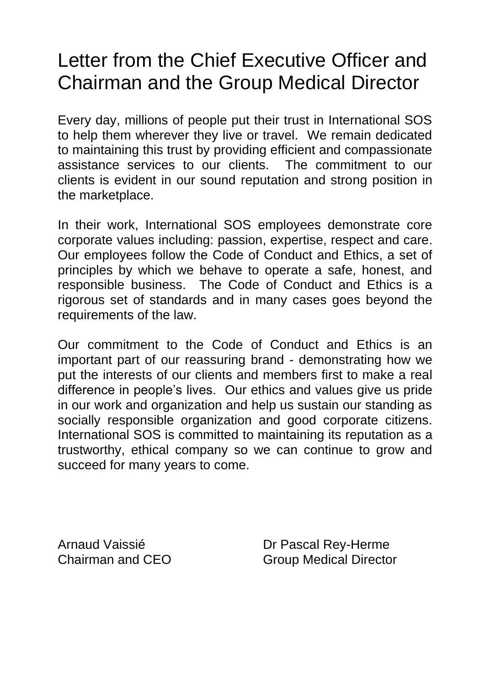# Letter from the Chief Executive Officer and Chairman and the Group Medical Director

Every day, millions of people put their trust in International SOS to help them wherever they live or travel. We remain dedicated to maintaining this trust by providing efficient and compassionate assistance services to our clients. The commitment to our clients is evident in our sound reputation and strong position in the marketplace.

In their work, International SOS employees demonstrate core corporate values including: passion, expertise, respect and care. Our employees follow the Code of Conduct and Ethics, a set of principles by which we behave to operate a safe, honest, and responsible business. The Code of Conduct and Ethics is a rigorous set of standards and in many cases goes beyond the requirements of the law.

Our commitment to the Code of Conduct and Ethics is an important part of our reassuring brand - demonstrating how we put the interests of our clients and members first to make a real difference in people's lives. Our ethics and values give us pride in our work and organization and help us sustain our standing as socially responsible organization and good corporate citizens. International SOS is committed to maintaining its reputation as a trustworthy, ethical company so we can continue to grow and succeed for many years to come.

Arnaud Vaissié Dr Pascal Rey-Herme Chairman and CEO Group Medical Director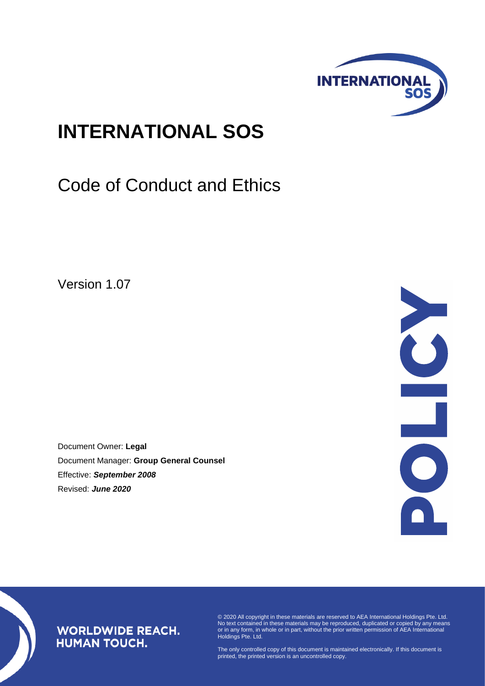

# **INTERNATIONAL SOS**

# Code of Conduct and Ethics

Version 1.07

Document Owner: **Legal** Document Manager: **Group General Counsel** Effective: *September 2008* Revised: *June 2020*



## **WORLDWIDE REACH. HUMAN TOUCH.**

© 2020 All copyright in these materials are reserved to AEA International Holdings Pte. Ltd. No text contained in these materials may be reproduced, duplicated or copied by any means or in any form, in whole or in part, without the prior written permission of AEA International Holdings Pte. Ltd.

The only controlled copy of this document is maintained electronically. If this document is printed, the printed version is an uncontrolled copy.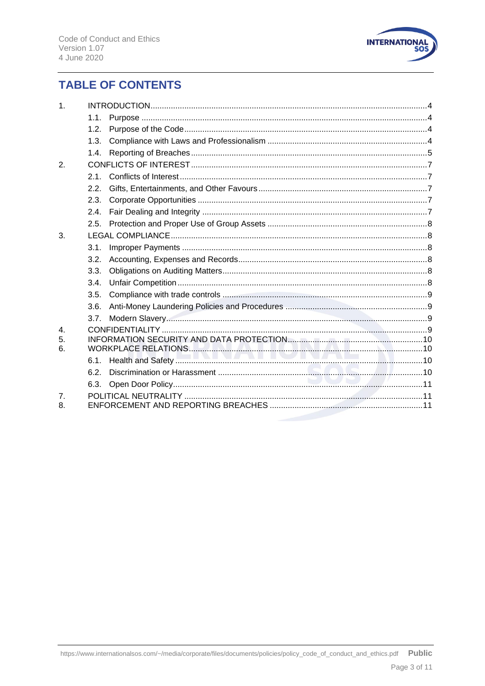

# **TABLE OF CONTENTS**

| 1.                   |      |  |  |
|----------------------|------|--|--|
|                      | 1.1. |  |  |
|                      | 1.2. |  |  |
|                      | 1.3. |  |  |
|                      | 1.4. |  |  |
| 2.                   |      |  |  |
|                      | 2.1  |  |  |
|                      | 2.2. |  |  |
|                      | 2.3. |  |  |
|                      | 2.4. |  |  |
|                      | 2.5. |  |  |
| 3.                   |      |  |  |
|                      | 3.1. |  |  |
|                      | 3.2. |  |  |
|                      | 3.3. |  |  |
|                      | 3.4. |  |  |
|                      | 3.5. |  |  |
|                      | 3.6. |  |  |
|                      | 3.7. |  |  |
| 4.<br>5.<br>6.       |      |  |  |
|                      | 6.1. |  |  |
|                      | 6.2. |  |  |
|                      | 6.3. |  |  |
| $\overline{7}$<br>8. |      |  |  |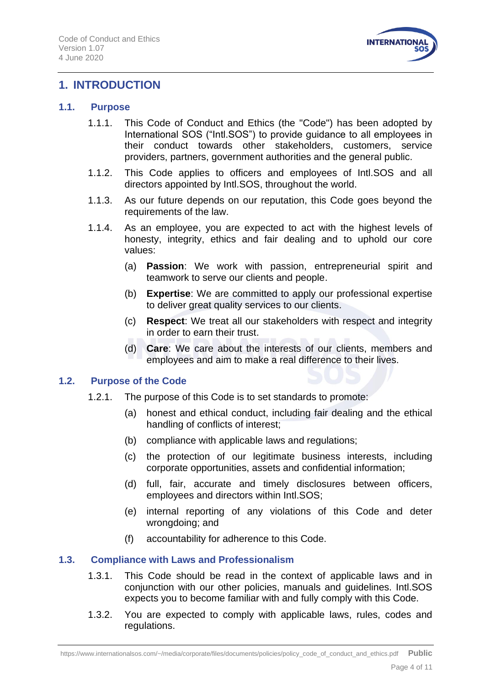

## <span id="page-3-0"></span>**1. INTRODUCTION**

#### <span id="page-3-1"></span>**1.1. Purpose**

- 1.1.1. This Code of Conduct and Ethics (the "Code") has been adopted by International SOS ("Intl.SOS") to provide guidance to all employees in their conduct towards other stakeholders, customers, service providers, partners, government authorities and the general public.
- 1.1.2. This Code applies to officers and employees of Intl.SOS and all directors appointed by Intl.SOS, throughout the world.
- 1.1.3. As our future depends on our reputation, this Code goes beyond the requirements of the law.
- 1.1.4. As an employee, you are expected to act with the highest levels of honesty, integrity, ethics and fair dealing and to uphold our core values:
	- (a) **Passion**: We work with passion, entrepreneurial spirit and teamwork to serve our clients and people.
	- (b) **Expertise**: We are committed to apply our professional expertise to deliver great quality services to our clients.
	- (c) **Respect**: We treat all our stakeholders with respect and integrity in order to earn their trust.
	- (d) **Care**: We care about the interests of our clients, members and employees and aim to make a real difference to their lives.

## <span id="page-3-2"></span>**1.2. Purpose of the Code**

- 1.2.1. The purpose of this Code is to set standards to promote:
	- (a) honest and ethical conduct, including fair dealing and the ethical handling of conflicts of interest;
	- (b) compliance with applicable laws and regulations;
	- (c) the protection of our legitimate business interests, including corporate opportunities, assets and confidential information;
	- (d) full, fair, accurate and timely disclosures between officers, employees and directors within Intl.SOS;
	- (e) internal reporting of any violations of this Code and deter wrongdoing; and
	- (f) accountability for adherence to this Code.

## <span id="page-3-3"></span>**1.3. Compliance with Laws and Professionalism**

- 1.3.1. This Code should be read in the context of applicable laws and in conjunction with our other policies, manuals and guidelines. Intl.SOS expects you to become familiar with and fully comply with this Code.
- 1.3.2. You are expected to comply with applicable laws, rules, codes and regulations.

https://www.internationalsos.com/~/media/corporate/files/documents/policies/policy\_code\_of\_conduct\_and\_ethics.pdf **Public**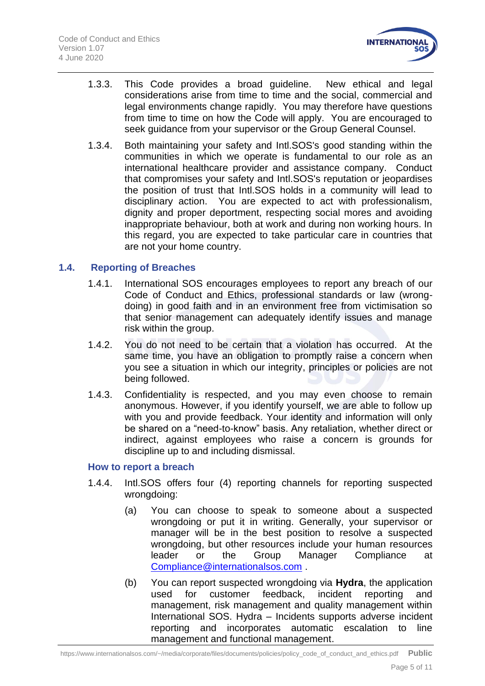

- 1.3.3. This Code provides a broad guideline. New ethical and legal considerations arise from time to time and the social, commercial and legal environments change rapidly. You may therefore have questions from time to time on how the Code will apply. You are encouraged to seek guidance from your supervisor or the Group General Counsel.
- 1.3.4. Both maintaining your safety and Intl.SOS's good standing within the communities in which we operate is fundamental to our role as an international healthcare provider and assistance company. Conduct that compromises your safety and Intl.SOS's reputation or jeopardises the position of trust that Intl.SOS holds in a community will lead to disciplinary action. You are expected to act with professionalism, dignity and proper deportment, respecting social mores and avoiding inappropriate behaviour, both at work and during non working hours. In this regard, you are expected to take particular care in countries that are not your home country.

## <span id="page-4-0"></span>**1.4. Reporting of Breaches**

- 1.4.1. International SOS encourages employees to report any breach of our Code of Conduct and Ethics, professional standards or law (wrongdoing) in good faith and in an environment free from victimisation so that senior management can adequately identify issues and manage risk within the group.
- 1.4.2. You do not need to be certain that a violation has occurred. At the same time, you have an obligation to promptly raise a concern when you see a situation in which our integrity, principles or policies are not being followed.
- 1.4.3. Confidentiality is respected, and you may even choose to remain anonymous. However, if you identify yourself, we are able to follow up with you and provide feedback. Your identity and information will only be shared on a "need-to-know" basis. Any retaliation, whether direct or indirect, against employees who raise a concern is grounds for discipline up to and including dismissal.

#### **How to report a breach**

- 1.4.4. Intl.SOS offers four (4) reporting channels for reporting suspected wrongdoing:
	- (a) You can choose to speak to someone about a suspected wrongdoing or put it in writing. Generally, your supervisor or manager will be in the best position to resolve a suspected wrongdoing, but other resources include your human resources leader or the Group Manager Compliance at [Compliance@internationalsos.com](mailto:Compliance@internationalsos.com) .
	- (b) You can report suspected wrongdoing via **Hydra**, the application used for customer feedback, incident reporting and management, risk management and quality management within International SOS. Hydra – Incidents supports adverse incident reporting and incorporates automatic escalation to line management and functional management.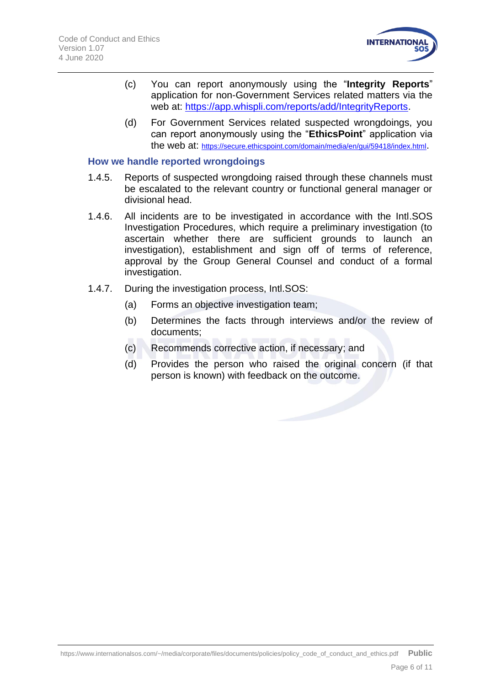

- (c) You can report anonymously using the "**Integrity Reports**" application for non-Government Services related matters via the web at: [https://app.whispli.com/reports/add/IntegrityReports.](https://app.whispli.com/reports/add/IntegrityReports)
- (d) For Government Services related suspected wrongdoings, you can report anonymously using the "**EthicsPoint**" application via the web at: <https://secure.ethicspoint.com/domain/media/en/gui/59418/index.html>.

#### **How we handle reported wrongdoings**

- 1.4.5. Reports of suspected wrongdoing raised through these channels must be escalated to the relevant country or functional general manager or divisional head.
- 1.4.6. All incidents are to be investigated in accordance with the Intl.SOS Investigation Procedures, which require a preliminary investigation (to ascertain whether there are sufficient grounds to launch an investigation), establishment and sign off of terms of reference, approval by the Group General Counsel and conduct of a formal investigation.
- 1.4.7. During the investigation process, Intl.SOS:
	- (a) Forms an objective investigation team;
	- (b) Determines the facts through interviews and/or the review of documents;
	- (c) Recommends corrective action, if necessary; and
	- (d) Provides the person who raised the original concern (if that person is known) with feedback on the outcome.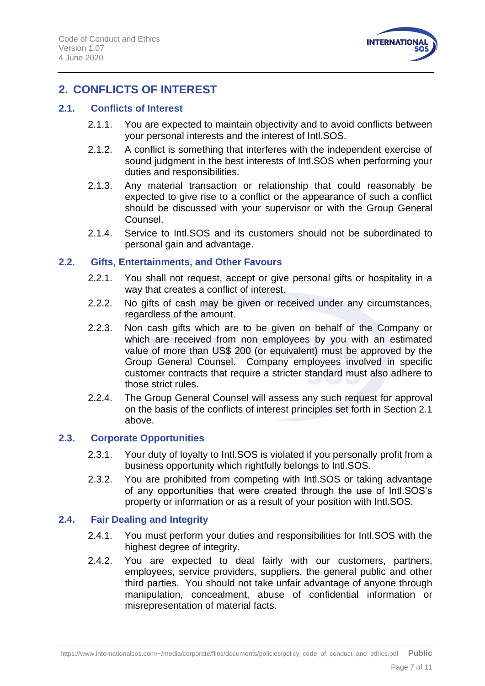

# <span id="page-6-0"></span>**2. CONFLICTS OF INTEREST**

## <span id="page-6-1"></span>**2.1. Conflicts of Interest**

- 2.1.1. You are expected to maintain objectivity and to avoid conflicts between your personal interests and the interest of Intl.SOS.
- 2.1.2. A conflict is something that interferes with the independent exercise of sound judgment in the best interests of Intl.SOS when performing your duties and responsibilities.
- 2.1.3. Any material transaction or relationship that could reasonably be expected to give rise to a conflict or the appearance of such a conflict should be discussed with your supervisor or with the Group General Counsel.
- 2.1.4. Service to Intl.SOS and its customers should not be subordinated to personal gain and advantage.

## <span id="page-6-2"></span>**2.2. Gifts, Entertainments, and Other Favours**

- 2.2.1. You shall not request, accept or give personal gifts or hospitality in a way that creates a conflict of interest.
- 2.2.2. No gifts of cash may be given or received under any circumstances, regardless of the amount.
- 2.2.3. Non cash gifts which are to be given on behalf of the Company or which are received from non employees by you with an estimated value of more than US\$ 200 (or equivalent) must be approved by the Group General Counsel. Company employees involved in specific customer contracts that require a stricter standard must also adhere to those strict rules.
- 2.2.4. The Group General Counsel will assess any such request for approval on the basis of the conflicts of interest principles set forth in Section 2.1 above.

## <span id="page-6-3"></span>**2.3. Corporate Opportunities**

- 2.3.1. Your duty of loyalty to Intl.SOS is violated if you personally profit from a business opportunity which rightfully belongs to Intl.SOS.
- 2.3.2. You are prohibited from competing with Intl.SOS or taking advantage of any opportunities that were created through the use of Intl.SOS's property or information or as a result of your position with Intl.SOS.

## <span id="page-6-4"></span>**2.4. Fair Dealing and Integrity**

- 2.4.1. You must perform your duties and responsibilities for Intl.SOS with the highest degree of integrity.
- 2.4.2. You are expected to deal fairly with our customers, partners, employees, service providers, suppliers, the general public and other third parties. You should not take unfair advantage of anyone through manipulation, concealment, abuse of confidential information or misrepresentation of material facts.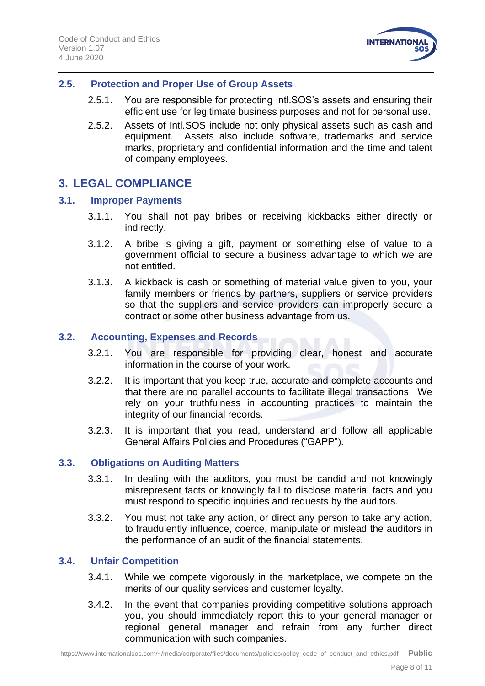

## <span id="page-7-0"></span>**2.5. Protection and Proper Use of Group Assets**

- 2.5.1. You are responsible for protecting Intl.SOS's assets and ensuring their efficient use for legitimate business purposes and not for personal use.
- 2.5.2. Assets of Intl.SOS include not only physical assets such as cash and equipment. Assets also include software, trademarks and service marks, proprietary and confidential information and the time and talent of company employees.

## <span id="page-7-1"></span>**3. LEGAL COMPLIANCE**

## <span id="page-7-2"></span>**3.1. Improper Payments**

- 3.1.1. You shall not pay bribes or receiving kickbacks either directly or indirectly.
- 3.1.2. A bribe is giving a gift, payment or something else of value to a government official to secure a business advantage to which we are not entitled.
- 3.1.3. A kickback is cash or something of material value given to you, your family members or friends by partners, suppliers or service providers so that the suppliers and service providers can improperly secure a contract or some other business advantage from us.

## <span id="page-7-3"></span>**3.2. Accounting, Expenses and Records**

- 3.2.1. You are responsible for providing clear, honest and accurate information in the course of your work.
- 3.2.2. It is important that you keep true, accurate and complete accounts and that there are no parallel accounts to facilitate illegal transactions. We rely on your truthfulness in accounting practices to maintain the integrity of our financial records.
- 3.2.3. It is important that you read, understand and follow all applicable General Affairs Policies and Procedures ("GAPP").

## <span id="page-7-4"></span>**3.3. Obligations on Auditing Matters**

- 3.3.1. In dealing with the auditors, you must be candid and not knowingly misrepresent facts or knowingly fail to disclose material facts and you must respond to specific inquiries and requests by the auditors.
- 3.3.2. You must not take any action, or direct any person to take any action, to fraudulently influence, coerce, manipulate or mislead the auditors in the performance of an audit of the financial statements.

## <span id="page-7-5"></span>**3.4. Unfair Competition**

- 3.4.1. While we compete vigorously in the marketplace, we compete on the merits of our quality services and customer loyalty.
- 3.4.2. In the event that companies providing competitive solutions approach you, you should immediately report this to your general manager or regional general manager and refrain from any further direct communication with such companies.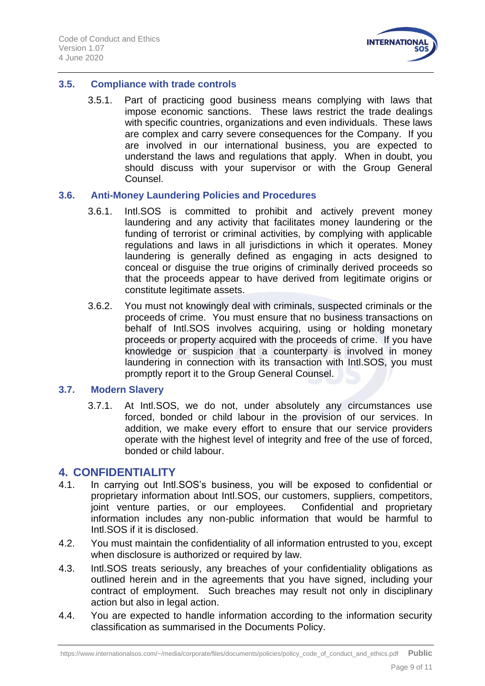

## <span id="page-8-0"></span>**3.5. Compliance with trade controls**

3.5.1. Part of practicing good business means complying with laws that impose economic sanctions. These laws restrict the trade dealings with specific countries, organizations and even individuals. These laws are complex and carry severe consequences for the Company. If you are involved in our international business, you are expected to understand the laws and regulations that apply. When in doubt, you should discuss with your supervisor or with the Group General Counsel.

#### <span id="page-8-1"></span>**3.6. Anti-Money Laundering Policies and Procedures**

- 3.6.1. Intl.SOS is committed to prohibit and actively prevent money laundering and any activity that facilitates money laundering or the funding of terrorist or criminal activities, by complying with applicable regulations and laws in all jurisdictions in which it operates. Money laundering is generally defined as engaging in acts designed to conceal or disguise the true origins of criminally derived proceeds so that the proceeds appear to have derived from legitimate origins or constitute legitimate assets.
- 3.6.2. You must not knowingly deal with criminals, suspected criminals or the proceeds of crime. You must ensure that no business transactions on behalf of Intl.SOS involves acquiring, using or holding monetary proceeds or property acquired with the proceeds of crime. If you have knowledge or suspicion that a counterparty is involved in money laundering in connection with its transaction with Intl.SOS, you must promptly report it to the Group General Counsel.

## <span id="page-8-2"></span>**3.7. Modern Slavery**

3.7.1. At Intl.SOS, we do not, under absolutely any circumstances use forced, bonded or child labour in the provision of our services. In addition, we make every effort to ensure that our service providers operate with the highest level of integrity and free of the use of forced, bonded or child labour.

## <span id="page-8-3"></span>**4. CONFIDENTIALITY**

- 4.1. In carrying out Intl.SOS's business, you will be exposed to confidential or proprietary information about Intl.SOS, our customers, suppliers, competitors, joint venture parties, or our employees. Confidential and proprietary information includes any non-public information that would be harmful to Intl.SOS if it is disclosed.
- 4.2. You must maintain the confidentiality of all information entrusted to you, except when disclosure is authorized or required by law.
- 4.3. Intl.SOS treats seriously, any breaches of your confidentiality obligations as outlined herein and in the agreements that you have signed, including your contract of employment. Such breaches may result not only in disciplinary action but also in legal action.
- 4.4. You are expected to handle information according to the information security classification as summarised in the Documents Policy.

https://www.internationalsos.com/~/media/corporate/files/documents/policies/policy\_code\_of\_conduct\_and\_ethics.pdf **Public**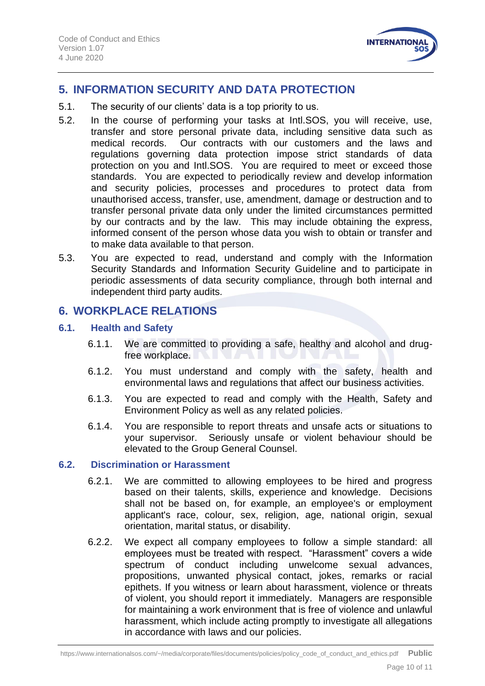

## <span id="page-9-0"></span>**5. INFORMATION SECURITY AND DATA PROTECTION**

- 5.1. The security of our clients' data is a top priority to us.
- 5.2. In the course of performing your tasks at Intl.SOS, you will receive, use, transfer and store personal private data, including sensitive data such as medical records. Our contracts with our customers and the laws and regulations governing data protection impose strict standards of data protection on you and Intl.SOS. You are required to meet or exceed those standards. You are expected to periodically review and develop information and security policies, processes and procedures to protect data from unauthorised access, transfer, use, amendment, damage or destruction and to transfer personal private data only under the limited circumstances permitted by our contracts and by the law. This may include obtaining the express, informed consent of the person whose data you wish to obtain or transfer and to make data available to that person.
- 5.3. You are expected to read, understand and comply with the Information Security Standards and Information Security Guideline and to participate in periodic assessments of data security compliance, through both internal and independent third party audits.

## <span id="page-9-1"></span>**6. WORKPLACE RELATIONS**

## <span id="page-9-2"></span>**6.1. Health and Safety**

- 6.1.1. We are committed to providing a safe, healthy and alcohol and drugfree workplace.
- 6.1.2. You must understand and comply with the safety, health and environmental laws and regulations that affect our business activities.
- 6.1.3. You are expected to read and comply with the Health, Safety and Environment Policy as well as any related policies.
- 6.1.4. You are responsible to report threats and unsafe acts or situations to your supervisor. Seriously unsafe or violent behaviour should be elevated to the Group General Counsel.

## <span id="page-9-3"></span>**6.2. Discrimination or Harassment**

- 6.2.1. We are committed to allowing employees to be hired and progress based on their talents, skills, experience and knowledge. Decisions shall not be based on, for example, an employee's or employment applicant's race, colour, sex, religion, age, national origin, sexual orientation, marital status, or disability.
- 6.2.2. We expect all company employees to follow a simple standard: all employees must be treated with respect. "Harassment" covers a wide spectrum of conduct including unwelcome sexual advances, propositions, unwanted physical contact, jokes, remarks or racial epithets. If you witness or learn about harassment, violence or threats of violent, you should report it immediately. Managers are responsible for maintaining a work environment that is free of violence and unlawful harassment, which include acting promptly to investigate all allegations in accordance with laws and our policies.

https://www.internationalsos.com/~/media/corporate/files/documents/policies/policy\_code\_of\_conduct\_and\_ethics.pdf **Public**